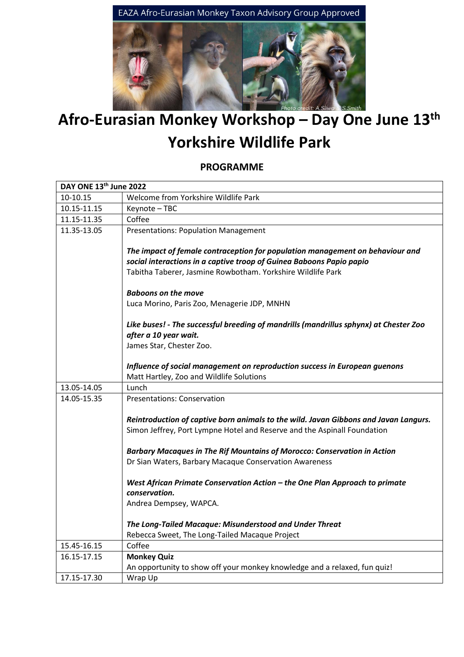EAZA Afro-Eurasian Monkey Taxon Advisory Group Approved

## **Afro-Eurasian Monkey Workshop – Day One June 13th Yorkshire Wildlife Park**

## **PROGRAMME**

| DAY ONE 13th June 2022 |                                                                                              |
|------------------------|----------------------------------------------------------------------------------------------|
| 10-10.15               | Welcome from Yorkshire Wildlife Park                                                         |
| 10.15-11.15            | Keynote - TBC                                                                                |
| 11.15-11.35            | Coffee                                                                                       |
| 11.35-13.05            | <b>Presentations: Population Management</b>                                                  |
|                        |                                                                                              |
|                        | The impact of female contraception for population management on behaviour and                |
|                        | social interactions in a captive troop of Guinea Baboons Papio papio                         |
|                        | Tabitha Taberer, Jasmine Rowbotham. Yorkshire Wildlife Park                                  |
|                        | <b>Baboons on the move</b>                                                                   |
|                        | Luca Morino, Paris Zoo, Menagerie JDP, MNHN                                                  |
|                        |                                                                                              |
|                        | Like buses! - The successful breeding of mandrills (mandrillus sphynx) at Chester Zoo        |
|                        | after a 10 year wait.                                                                        |
|                        | James Star, Chester Zoo.                                                                     |
|                        |                                                                                              |
|                        | Influence of social management on reproduction success in European guenons                   |
|                        | Matt Hartley, Zoo and Wildlife Solutions                                                     |
|                        |                                                                                              |
| 13.05-14.05            | Lunch                                                                                        |
| 14.05-15.35            | <b>Presentations: Conservation</b>                                                           |
|                        |                                                                                              |
|                        | Reintroduction of captive born animals to the wild. Javan Gibbons and Javan Langurs.         |
|                        | Simon Jeffrey, Port Lympne Hotel and Reserve and the Aspinall Foundation                     |
|                        |                                                                                              |
|                        | <b>Barbary Macaques in The Rif Mountains of Morocco: Conservation in Action</b>              |
|                        | Dr Sian Waters, Barbary Macaque Conservation Awareness                                       |
|                        |                                                                                              |
|                        | West African Primate Conservation Action - the One Plan Approach to primate<br>conservation. |
|                        | Andrea Dempsey, WAPCA.                                                                       |
|                        |                                                                                              |
|                        | The Long-Tailed Macaque: Misunderstood and Under Threat                                      |
|                        | Rebecca Sweet, The Long-Tailed Macaque Project                                               |
| 15.45-16.15            | Coffee                                                                                       |
| 16.15-17.15            | <b>Monkey Quiz</b>                                                                           |
|                        | An opportunity to show off your monkey knowledge and a relaxed, fun quiz!                    |